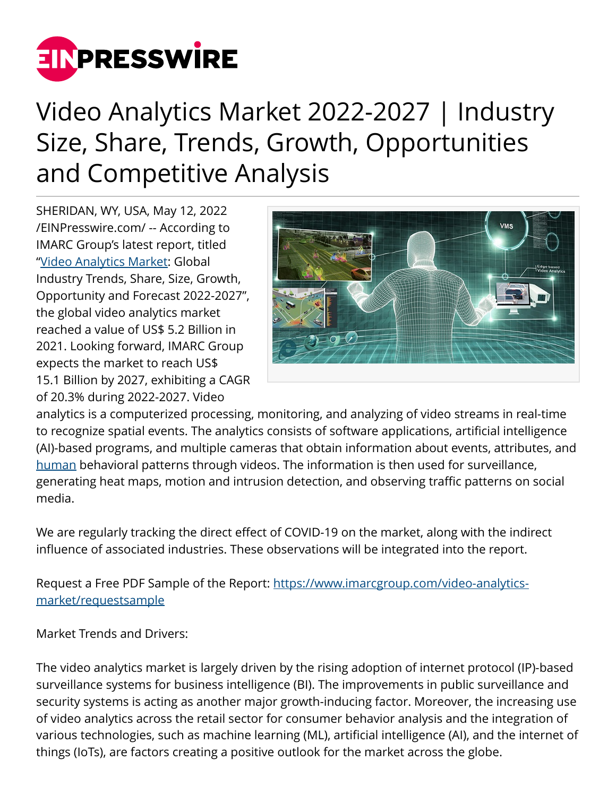

## Video Analytics Market 2022-2027 | Industry Size, Share, Trends, Growth, Opportunities and Competitive Analysis

SHERIDAN, WY, USA, May 12, 2022 [/EINPresswire.com/](http://www.einpresswire.com) -- According to IMARC Group's latest report, titled ["Video Analytics Market:](https://www.imarcgroup.com/video-analytics-market) Global Industry Trends, Share, Size, Growth, Opportunity and Forecast 2022-2027", the global video analytics market reached a value of US\$ 5.2 Billion in 2021. Looking forward, IMARC Group expects the market to reach US\$ 15.1 Billion by 2027, exhibiting a CAGR of 20.3% during 2022-2027. Video



analytics is a computerized processing, monitoring, and analyzing of video streams in real-time to recognize spatial events. The analytics consists of software applications, artificial intelligence (AI)-based programs, and multiple cameras that obtain information about events, attributes, and [human](https://www.imarcgroup.com/united-states-human-resource-technology-market) behavioral patterns through videos. The information is then used for surveillance, generating heat maps, motion and intrusion detection, and observing traffic patterns on social media.

We are regularly tracking the direct effect of COVID-19 on the market, along with the indirect influence of associated industries. These observations will be integrated into the report.

Request a Free PDF Sample of the Report: [https://www.imarcgroup.com/video-analytics](https://www.imarcgroup.com/video-analytics-market/requestsample)[market/requestsample](https://www.imarcgroup.com/video-analytics-market/requestsample)

Market Trends and Drivers:

The video analytics market is largely driven by the rising adoption of internet protocol (IP)-based surveillance systems for business intelligence (BI). The improvements in public surveillance and security systems is acting as another major growth-inducing factor. Moreover, the increasing use of video analytics across the retail sector for consumer behavior analysis and the integration of various technologies, such as machine learning (ML), artificial intelligence (AI), and the internet of things (IoTs), are factors creating a positive outlook for the market across the globe.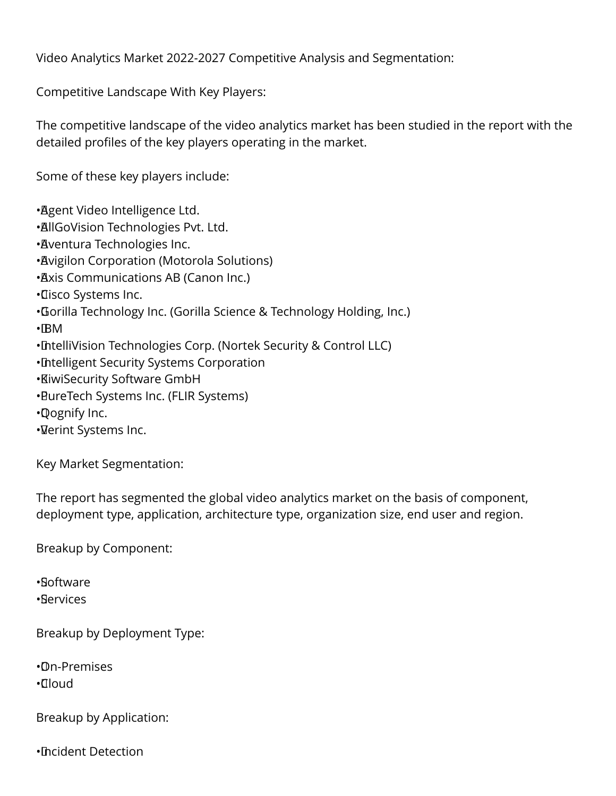Video Analytics Market 2022-2027 Competitive Analysis and Segmentation:

Competitive Landscape With Key Players:

The competitive landscape of the video analytics market has been studied in the report with the detailed profiles of the key players operating in the market.

Some of these key players include:

• Agent Video Intelligence Ltd. • AllGoVision Technologies Pvt. Ltd. • Aventura Technologies Inc. • Avigilon Corporation (Motorola Solutions) • Axis Communications AB (Canon Inc.) • Cisco Systems Inc. • Gorilla Technology Inc. (Gorilla Science & Technology Holding, Inc.)  $\cdot$ BM • IntelliVision Technologies Corp. (Nortek Security & Control LLC) • Intelligent Security Systems Corporation • KiwiSecurity Software GmbH • PureTech Systems Inc. (FLIR Systems) • Qognify Inc.

• Verint Systems Inc.

Key Market Segmentation:

The report has segmented the global video analytics market on the basis of component, deployment type, application, architecture type, organization size, end user and region.

Breakup by Component:

• Software

• Services

Breakup by Deployment Type:

• On-Premises • Cloud

Breakup by Application:

• Incident Detection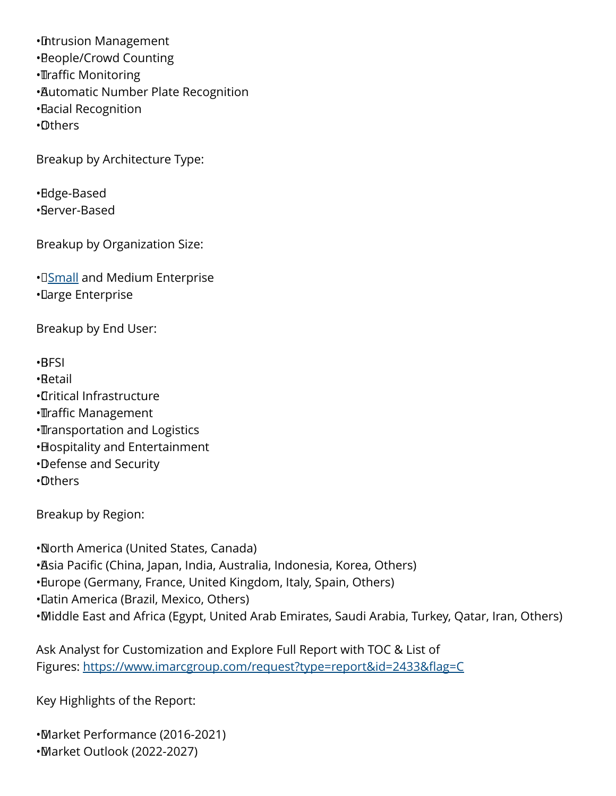• Intrusion Management • People/Crowd Counting • **Traffic Monitoring** • Automatic Number Plate Recognition • Facial Recognition • Others

Breakup by Architecture Type:

• Edge-Based • Server-Based

Breakup by Organization Size:

• **[Small](https://www.imarcgroup.com/small-arms-market) and Medium Enterprise** • Large Enterprise

Breakup by End User:

• BFSI

• Retail

• Critical Infrastructure

- • Traffic Management
- **Transportation and Logistics**
- • Hospitality and Entertainment
- • Defense and Security
- • Others

Breakup by Region:

• North America (United States, Canada)

• Asia Pacific (China, Japan, India, Australia, Indonesia, Korea, Others)

• Europe (Germany, France, United Kingdom, Italy, Spain, Others)

• Latin America (Brazil, Mexico, Others)

• Middle East and Africa (Egypt, United Arab Emirates, Saudi Arabia, Turkey, Qatar, Iran, Others)

Ask Analyst for Customization and Explore Full Report with TOC & List of Figures: <https://www.imarcgroup.com/request?type=report&id=2433&flag=C>

Key Highlights of the Report:

• Market Performance (2016-2021) • Market Outlook (2022-2027)